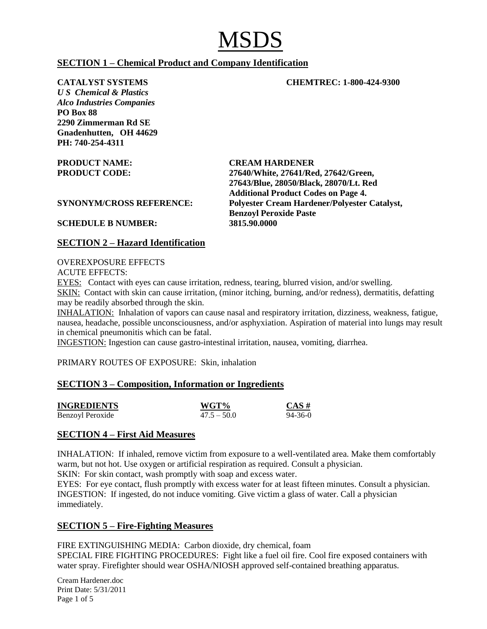# **SECTION 1 – Chemical Product and Company Identification**

**CATALYST SYSTEMS CHEMTREC: 1-800-424-9300**

*U S Chemical & Plastics Alco Industries Companies* **PO Box 88 2290 Zimmerman Rd SE Gnadenhutten, OH 44629 PH: 740-254-4311** 

**PRODUCT NAME: CREAM HARDENER PRODUCT CODE: 27640/White, 27641/Red, 27642/Green, 27643/Blue, 28050/Black, 28070/Lt. Red Additional Product Codes on Page 4. SYNONYM/CROSS REFERENCE: Polyester Cream Hardener/Polyester Catalyst, Benzoyl Peroxide Paste**

# **SCHEDULE B NUMBER: 3815.90.0000**

# **SECTION 2 – Hazard Identification**

#### OVEREXPOSURE EFFECTS

ACUTE EFFECTS:

EYES: Contact with eyes can cause irritation, redness, tearing, blurred vision, and/or swelling. SKIN: Contact with skin can cause irritation, (minor itching, burning, and/or redness), dermatitis, defatting may be readily absorbed through the skin.

INHALATION: Inhalation of vapors can cause nasal and respiratory irritation, dizziness, weakness, fatigue, nausea, headache, possible unconsciousness, and/or asphyxiation. Aspiration of material into lungs may result in chemical pneumonitis which can be fatal.

INGESTION: Ingestion can cause gastro-intestinal irritation, nausea, vomiting, diarrhea.

PRIMARY ROUTES OF EXPOSURE: Skin, inhalation

## **SECTION 3 – Composition, Information or Ingredients**

| <b>INGREDIENTS</b> | WGT%          | CAS#          |
|--------------------|---------------|---------------|
| Benzoyl Peroxide   | $47.5 - 50.0$ | $94 - 36 - 0$ |

## **SECTION 4 – First Aid Measures**

INHALATION: If inhaled, remove victim from exposure to a well-ventilated area. Make them comfortably warm, but not hot. Use oxygen or artificial respiration as required. Consult a physician.

SKIN: For skin contact, wash promptly with soap and excess water.

EYES: For eye contact, flush promptly with excess water for at least fifteen minutes. Consult a physician. INGESTION: If ingested, do not induce vomiting. Give victim a glass of water. Call a physician immediately.

# **SECTION 5 – Fire-Fighting Measures**

FIRE EXTINGUISHING MEDIA: Carbon dioxide, dry chemical, foam SPECIAL FIRE FIGHTING PROCEDURES: Fight like a fuel oil fire. Cool fire exposed containers with water spray. Firefighter should wear OSHA/NIOSH approved self-contained breathing apparatus.

Cream Hardener.doc Print Date: 5/31/2011 Page 1 of 5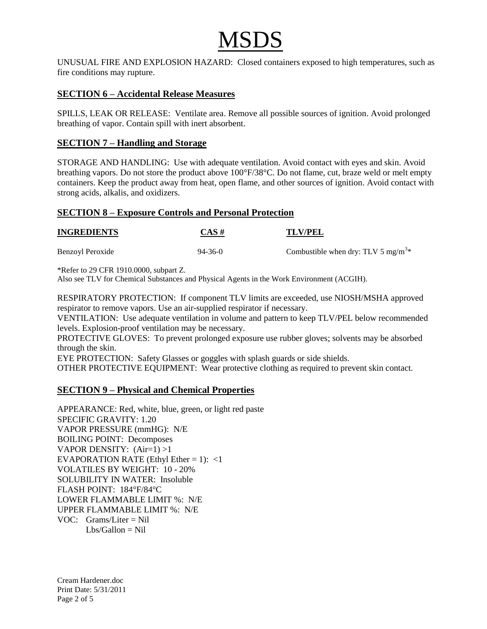UNUSUAL FIRE AND EXPLOSION HAZARD: Closed containers exposed to high temperatures, such as fire conditions may rupture.

# **SECTION 6 – Accidental Release Measures**

SPILLS, LEAK OR RELEASE: Ventilate area. Remove all possible sources of ignition. Avoid prolonged breathing of vapor. Contain spill with inert absorbent.

# **SECTION 7 – Handling and Storage**

STORAGE AND HANDLING: Use with adequate ventilation. Avoid contact with eyes and skin. Avoid breathing vapors. Do not store the product above 100°F/38°C. Do not flame, cut, braze weld or melt empty containers. Keep the product away from heat, open flame, and other sources of ignition. Avoid contact with strong acids, alkalis, and oxidizers.

## **SECTION 8 – Exposure Controls and Personal Protection**

| <b>INGREDIENTS</b> | $CAS \#$      | <b>TLV/PEL</b>                                 |  |
|--------------------|---------------|------------------------------------------------|--|
| Benzoyl Peroxide   | $94 - 36 - 0$ | Combustible when dry: TLV 5 mg/m <sup>3*</sup> |  |

\*Refer to 29 CFR 1910.0000, subpart Z.

Also see TLV for Chemical Substances and Physical Agents in the Work Environment (ACGIH).

RESPIRATORY PROTECTION: If component TLV limits are exceeded, use NIOSH/MSHA approved respirator to remove vapors. Use an air-supplied respirator if necessary.

VENTILATION: Use adequate ventilation in volume and pattern to keep TLV/PEL below recommended levels. Explosion-proof ventilation may be necessary.

PROTECTIVE GLOVES: To prevent prolonged exposure use rubber gloves; solvents may be absorbed through the skin.

EYE PROTECTION: Safety Glasses or goggles with splash guards or side shields.

OTHER PROTECTIVE EQUIPMENT: Wear protective clothing as required to prevent skin contact.

## **SECTION 9 – Physical and Chemical Properties**

APPEARANCE: Red, white, blue, green, or light red paste SPECIFIC GRAVITY: 1.20 VAPOR PRESSURE (mmHG): N/E BOILING POINT: Decomposes VAPOR DENSITY: (Air=1) >1 EVAPORATION RATE (Ethyl Ether = 1):  $\langle 1 \rangle$ VOLATILES BY WEIGHT: 10 - 20% SOLUBILITY IN WATER: Insoluble FLASH POINT: 184°F/84°C LOWER FLAMMABLE LIMIT %: N/E UPPER FLAMMABLE LIMIT %: N/E VOC: Grams/Liter = Nil  $Lbs/Gallon = Nil$ 

Cream Hardener.doc Print Date: 5/31/2011 Page 2 of 5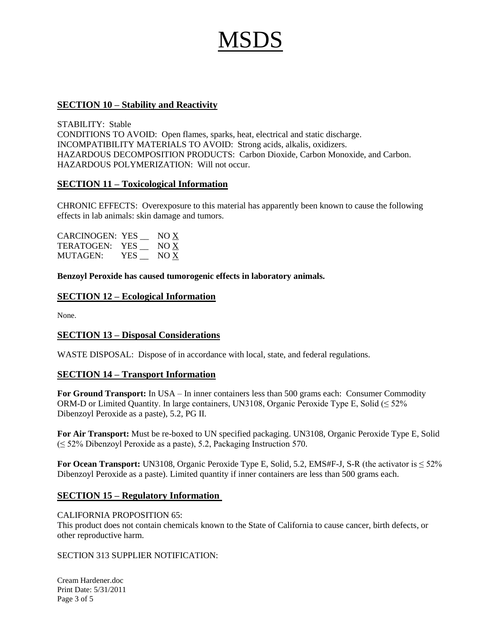### **SECTION 10 – Stability and Reactivity**

STABILITY: Stable CONDITIONS TO AVOID: Open flames, sparks, heat, electrical and static discharge. INCOMPATIBILITY MATERIALS TO AVOID: Strong acids, alkalis, oxidizers. HAZARDOUS DECOMPOSITION PRODUCTS: Carbon Dioxide, Carbon Monoxide, and Carbon. HAZARDOUS POLYMERIZATION: Will not occur.

#### **SECTION 11 – Toxicological Information**

CHRONIC EFFECTS: Overexposure to this material has apparently been known to cause the following effects in lab animals: skin damage and tumors.

| <b>CARCINOGEN: YES</b> |      | NOX  |
|------------------------|------|------|
| TERATOGEN:             | YES. | NO X |
| MUTAGEN:               | YES  | NO X |

**Benzoyl Peroxide has caused tumorogenic effects in laboratory animals.**

#### **SECTION 12 – Ecological Information**

None.

#### **SECTION 13 – Disposal Considerations**

WASTE DISPOSAL: Dispose of in accordance with local, state, and federal regulations.

#### **SECTION 14 – Transport Information**

**For Ground Transport:** In USA – In inner containers less than 500 grams each: Consumer Commodity ORM-D or Limited Quantity. In large containers, UN3108, Organic Peroxide Type E, Solid ( $\leq 52\%$ ) Dibenzoyl Peroxide as a paste), 5.2, PG II.

**For Air Transport:** Must be re-boxed to UN specified packaging. UN3108, Organic Peroxide Type E, Solid  $(\leq 52\%$  Dibenzoyl Peroxide as a paste), 5.2, Packaging Instruction 570.

**For Ocean Transport:** UN3108, Organic Peroxide Type E, Solid, 5.2, EMS#F-J, S-R (the activator is  $\leq$  52% Dibenzoyl Peroxide as a paste). Limited quantity if inner containers are less than 500 grams each.

#### **SECTION 15 – Regulatory Information**

#### CALIFORNIA PROPOSITION 65:

This product does not contain chemicals known to the State of California to cause cancer, birth defects, or other reproductive harm.

#### SECTION 313 SUPPLIER NOTIFICATION:

Cream Hardener.doc Print Date: 5/31/2011 Page 3 of 5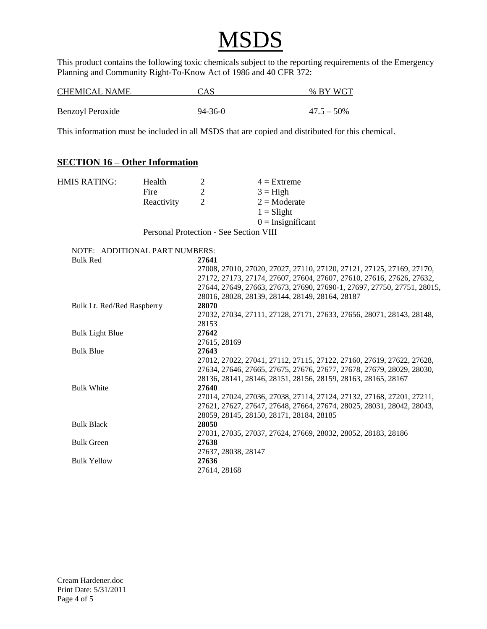This product contains the following toxic chemicals subject to the reporting requirements of the Emergency Planning and Community Right-To-Know Act of 1986 and 40 CFR 372:

| <b>CHEMICAL NAME</b>    | CAS           | % BY WGT      |
|-------------------------|---------------|---------------|
|                         |               |               |
| <b>Benzoyl Peroxide</b> | $94 - 36 - 0$ | $47.5 - 50\%$ |

This information must be included in all MSDS that are copied and distributed for this chemical.

# **SECTION 16 – Other Information**

| <b>HMIS RATING:</b>            | Health<br>Fire | 2<br>$\overline{2}$ | $4 =$ Extreme<br>$3 = High$                                             |
|--------------------------------|----------------|---------------------|-------------------------------------------------------------------------|
|                                |                | $\overline{2}$      | $2 = \text{Moderate}$                                                   |
|                                | Reactivity     |                     |                                                                         |
|                                |                |                     | $1 =$ Slight                                                            |
|                                |                |                     | $0 =$ Insignificant                                                     |
|                                |                |                     | Personal Protection - See Section VIII                                  |
| NOTE: ADDITIONAL PART NUMBERS: |                |                     |                                                                         |
| <b>Bulk Red</b>                |                | 27641               |                                                                         |
|                                |                |                     | 27008, 27010, 27020, 27027, 27110, 27120, 27121, 27125, 27169, 27170,   |
|                                |                |                     | 27172, 27173, 27174, 27607, 27604, 27607, 27610, 27616, 27626, 27632,   |
|                                |                |                     | 27644, 27649, 27663, 27673, 27690, 27690-1, 27697, 27750, 27751, 28015, |
|                                |                |                     | 28016, 28028, 28139, 28144, 28149, 28164, 28187                         |
| Bulk Lt. Red/Red Raspberry     |                | 28070               |                                                                         |
|                                |                |                     | 27032, 27034, 27111, 27128, 27171, 27633, 27656, 28071, 28143, 28148,   |
|                                |                | 28153               |                                                                         |
| <b>Bulk Light Blue</b>         |                | 27642               |                                                                         |
|                                |                | 27615, 28169        |                                                                         |
| <b>Bulk Blue</b>               |                | 27643               |                                                                         |
|                                |                |                     | 27012, 27022, 27041, 27112, 27115, 27122, 27160, 27619, 27622, 27628,   |
|                                |                |                     | 27634, 27646, 27665, 27675, 27676, 27677, 27678, 27679, 28029, 28030,   |
|                                |                |                     | 28136, 28141, 28146, 28151, 28156, 28159, 28163, 28165, 28167           |
| <b>Bulk White</b>              |                | 27640               |                                                                         |
|                                |                |                     | 27014, 27024, 27036, 27038, 27114, 27124, 27132, 27168, 27201, 27211,   |
|                                |                |                     | 27621, 27627, 27647, 27648, 27664, 27674, 28025, 28031, 28042, 28043,   |
|                                |                |                     | 28059, 28145, 28150, 28171, 28184, 28185                                |
| <b>Bulk Black</b>              |                | 28050               |                                                                         |
|                                |                |                     | 27031, 27035, 27037, 27624, 27669, 28032, 28052, 28183, 28186           |
| <b>Bulk Green</b>              |                | 27638               |                                                                         |
|                                |                | 27637, 28038, 28147 |                                                                         |
| <b>Bulk Yellow</b>             |                | 27636               |                                                                         |
|                                |                | 27614, 28168        |                                                                         |
|                                |                |                     |                                                                         |